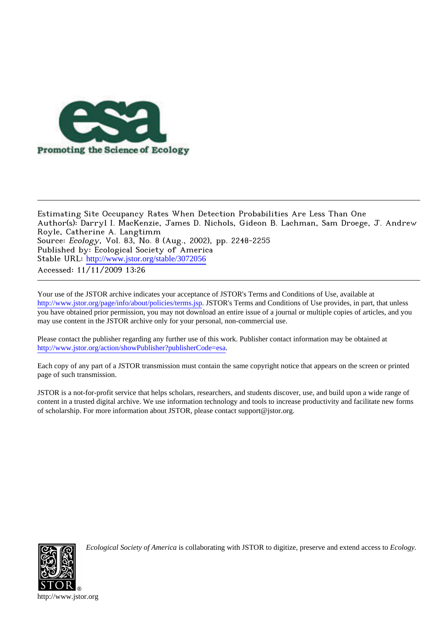

# Estimating Site Occupancy Rates When Detection Probabilities Are Less Than One Author(s): Darryl I. MacKenzie, James D. Nichols, Gideon B. Lachman, Sam Droege, J. Andrew Royle, Catherine A. Langtimm Source: Ecology, Vol. 83, No. 8 (Aug., 2002), pp. 2248-2255 Published by: Ecological Society of America Stable URL: [http://www.jstor.org/stable/3072056](http://www.jstor.org/stable/3072056?origin=JSTOR-pdf) Accessed: 11/11/2009 13:26

Your use of the JSTOR archive indicates your acceptance of JSTOR's Terms and Conditions of Use, available at <http://www.jstor.org/page/info/about/policies/terms.jsp>. JSTOR's Terms and Conditions of Use provides, in part, that unless you have obtained prior permission, you may not download an entire issue of a journal or multiple copies of articles, and you may use content in the JSTOR archive only for your personal, non-commercial use.

Please contact the publisher regarding any further use of this work. Publisher contact information may be obtained at [http://www.jstor.org/action/showPublisher?publisherCode=esa.](http://www.jstor.org/action/showPublisher?publisherCode=esa)

Each copy of any part of a JSTOR transmission must contain the same copyright notice that appears on the screen or printed page of such transmission.

JSTOR is a not-for-profit service that helps scholars, researchers, and students discover, use, and build upon a wide range of content in a trusted digital archive. We use information technology and tools to increase productivity and facilitate new forms of scholarship. For more information about JSTOR, please contact support@jstor.org.



*Ecological Society of America* is collaborating with JSTOR to digitize, preserve and extend access to *Ecology.*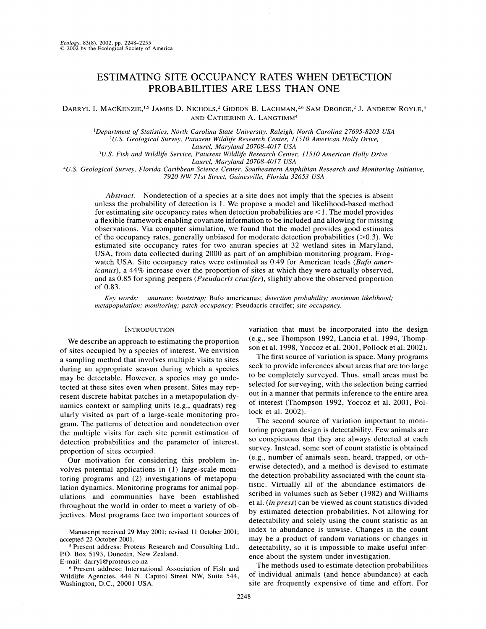# **ESTIMATING SITE OCCUPANCY RATES WHEN DETECTION PROBABILITIES ARE LESS THAN ONE**

DARRYL I. MACKENZIE,<sup>1,5</sup> JAMES D. NICHOLS,<sup>2</sup> GIDEON B. LACHMAN,<sup>2,6</sup> SAM DROEGE,<sup>2</sup> J. ANDREW ROYLE,<sup>3</sup> **AND CATHERINE A. LANGTIMM4** 

**'Department of Statistics, North Carolina State University, Raleigh, North Carolina 27695-8203 USA 2U.S. Geological Survey, Patuxent Wildlife Research Center, 11510 American Holly Drive, Laurel, Maryland 20708-4017 USA** 

**3U.S. Fish and Wildlife Service, Patuxent Wildlife Research Center, 11510 American Holly Drive,** 

**Laurel, Maryland 20708-40] 7 USA** 

**4U.S. Geological Survey, Florida Caribbean Science Center, Southeastern Amphibian Research and Monitoring Initiative,** 

**7920 NW 71st Street, Gainesville, Florida 32653 USA** 

**Abstract. Nondetection of a species at a site does not imply that the species is absent unless the probability of detection is 1. We propose a model and likelihood-based method for estimating site occupancy rates when detection probabilities are < 1. The model provides a flexible framework enabling covariate information to be included and allowing for missing observations. Via computer simulation, we found that the model provides good estimates**  of the occupancy rates, generally unbiased for moderate detection probabilities  $(0.3)$ . We **estimated site occupancy rates for two anuran species at 32 wetland sites in Maryland, USA, from data collected during 2000 as part of an amphibian monitoring program, Frogwatch USA. Site occupancy rates were estimated as 0.49 for American toads (Bufo americanus), a 44% increase over the proportion of sites at which they were actually observed, and as 0.85 for spring peepers (Pseudacris crucifer), slightly above the observed proportion of 0.83.** 

**Key words: anurans; bootstrap; Bufo americanus; detection probability; maximum likelihood; metapopulation; monitoring; patch occupancy; Pseudacris crucifer; site occupancy.** 

### **INTRODUCTION**

**We describe an approach to estimating the proportion of sites occupied by a species of interest. We envision a sampling method that involves multiple visits to sites during an appropriate season during which a species may be detectable. However, a species may go undetected at these sites even when present. Sites may represent discrete habitat patches in a metapopulation dynamics context or sampling units (e.g., quadrats) regularly visited as part of a large-scale monitoring program. The patterns of detection and nondetection over the multiple visits for each site permit estimation of detection probabilities and the parameter of interest, proportion of sites occupied.** 

**Our motivation for considering this problem involves potential applications in (1) large-scale monitoring programs and (2) investigations of metapopulation dynamics. Monitoring programs for animal populations and communities have been established throughout the world in order to meet a variety of objectives. Most programs face two important sources of** 

**5Present address: Proteus Research and Consulting Ltd., P.O. Box 5193, Dunedin, New Zealand.** 

**E-mail: darryl@proteus.co.nz** 

**<sup>6</sup>Present address: International Association of Fish and Wildlife Agencies, 444 N. Capitol Street NW, Suite 544, Washington, D.C., 20001 USA.** 

**variation that must be incorporated into the design (e.g., see Thompson 1992, Lancia et al. 1994, Thompson et al. 1998, Yoccoz et al. 2001, Pollock et al. 2002).** 

**The first source of variation is space. Many programs seek to provide inferences about areas that are too large to be completely surveyed. Thus, small areas must be selected for surveying, with the selection being carried out in a manner that permits inference to the entire area of interest (Thompson 1992, Yoccoz et al. 2001, Pollock et al. 2002).** 

**The second source of variation important to monitoring program design is delectability. Few animals are so conspicuous that they are always detected at each survey. Instead, some sort of count statistic is obtained (e.g., number of animals seen, heard, trapped, or otherwise detected), and a method is devised to estimate the detection probability associated with the count statistic. Virtually all of the abundance estimators described in volumes such as Seber (1982) and Williams et al. (in press) can be viewed as count statistics divided by estimated detection probabilities. Not allowing for**  detectability and solely using the count statistic as an **index to abundance is unwise. Changes in the count may be a product of random variations or changes in**  detectability, so it is impossible to make useful infer**ence about the system under investigation.** 

**The methods used to estimate detection probabilities of individual animals (and hence abundance) at each site are frequently expensive of time and effort. For** 

**Manuscript received 29 May 2001; revised 11 October 2001; accepted 22 October 2001.**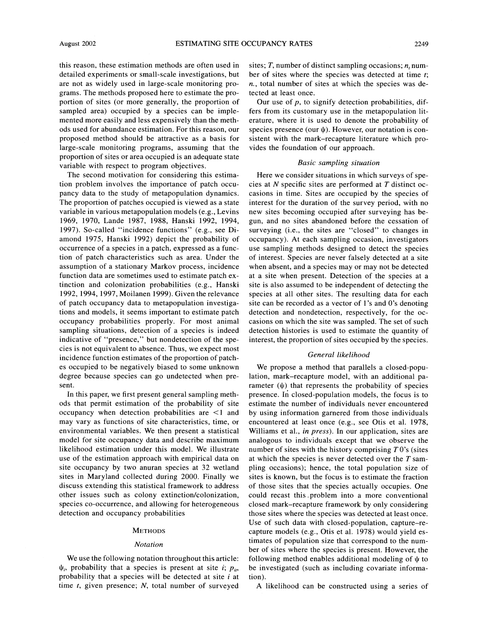**this reason, these estimation methods are often used in detailed experiments or small-scale investigations, but are not as widely used in large-scale monitoring programs. The methods proposed here to estimate the proportion of sites (or more generally, the proportion of sampled area) occupied by a species can be implemented more easily and less expensively than the methods used for abundance estimation. For this reason, our proposed method should be attractive as a basis for large-scale monitoring programs, assuming that the proportion of sites or area occupied is an adequate state variable with respect to program objectives.** 

**The second motivation for considering this estimation problem involves the importance of patch occupancy data to the study of metapopulation dynamics. The proportion of patches occupied is viewed as a state variable in various metapopulation models (e.g., Levins 1969, 1970, Lande 1987, 1988, Hanski 1992, 1994, 1997). So-called "incidence functions" (e.g., see Diamond 1975, Hanski 1992) depict the probability of occurrence of a species in a patch, expressed as a function of patch characteristics such as area. Under the assumption of a stationary Markov process, incidence function data are sometimes used to estimate patch extinction and colonization probabilities (e.g., Hanski 1992, 1994, 1997, Moilanen 1999). Given the relevance of patch occupancy data to metapopulation investigations and models, it seems important to estimate patch occupancy probabilities properly. For most animal sampling situations, detection of a species is indeed indicative of "presence," but nondetection of the species is not equivalent to absence. Thus, we expect most incidence function estimates of the proportion of patches occupied to be negatively biased to some unknown degree because species can go undetected when present.** 

**In this paper, we first present general sampling methods that permit estimation of the probability of site occupancy when detection probabilities are <1 and may vary as functions of site characteristics, time, or environmental variables. We then present a statistical model for site occupancy data and describe maximum likelihood estimation under this model. We illustrate use of the estimation approach with empirical data on site occupancy by two anuran species at 32 wetland sites in Maryland collected during 2000. Finally we discuss extending this statistical framework to address other issues such as colony extinction/colonization, species co-occurrence, and allowing for heterogeneous detection and occupancy probabilities** 

## **METHODS**

## **Notation**

**We use the following notation throughout this article:**   $\psi_i$ , probability that a species is present at site *i*;  $p_{ii}$ , **probability that a species will be detected at site i at time t, given presence; N, total number of surveyed** 

**sites; T, number of distinct sampling occasions; n, number of sites where the species was detected at time t; n., total number of sites at which the species was detected at least once.** 

**Our use of p, to signify detection probabilities, differs from its customary use in the metapopulation literature, where it is used to denote the probability of species presence (our qj). However, our notation is consistent with the mark-recapture literature which provides the foundation of our approach.** 

#### **Basic sampling situation**

**Here we consider situations in which surveys of species at N specific sites are performed at T distinct occasions in time. Sites are occupied by the species of interest for the duration of the survey period, with no new sites becoming occupied after surveying has begun, and no sites abandoned before the cessation of surveying (i.e., the sites are "closed" to changes in occupancy). At each sampling occasion, investigators use sampling methods designed to detect the species of interest. Species are never falsely detected at a site when absent, and a species may or may not be detected at a site when present. Detection of the species at a site is also assumed to be independent of detecting the species at all other sites. The resulting data for each site can be recorded as a vector of 1's and 0's denoting detection and nondetection, respectively, for the occasions on which the site was sampled. The set of such detection histories is used to estimate the quantity of interest, the proportion of sites occupied by the species.** 

# **General likelihood**

**We propose a method that parallels a closed-population, mark-recapture model, with an additional pa**rameter  $(\psi)$  that represents the probability of species **presence. In closed-population models, the focus is to estimate the number of individuals never encountered by using information garnered from those individuals encountered at least once (e.g., see Otis et al. 1978, Williams et al., in press). In our application, sites are analogous to individuals except that we observe the number of sites with the history comprising TO's (sites at which the species is never detected over the T sampling occasions); hence, the total population size of sites is known, but the focus is to estimate the fraction of those sites that the species actually occupies. One could recast this.problem into a more conventional closed mark-recapture framework by only considering those sites where the species was detected at least once. Use of such data with closed-population, capture-recapture models (e.g., Otis et al. 1978) would yield estimates of population size that correspond to the number of sites where the species is present. However, the**  following method enables additional modeling of  $\psi$  to **be investigated (such as including covariate information).** 

**A likelihood can be constructed using a series of**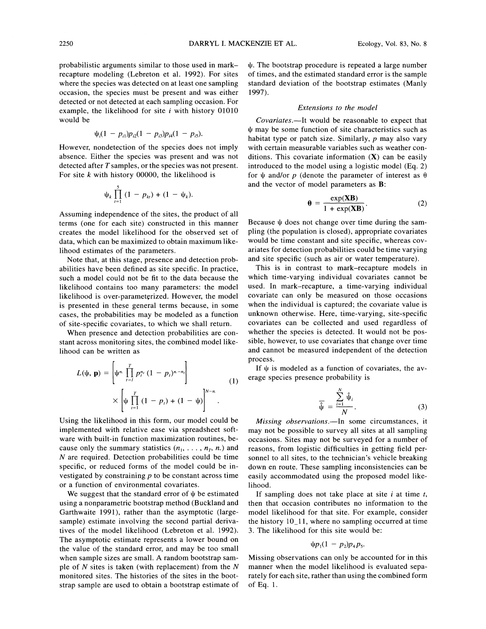**probabilistic arguments similar to those used in markrecapture modeling (Lebreton et al. 1992). For sites where the species was detected on at least one sampling occasion, the species must be present and was either detected or not detected at each sampling occasion. For example, the likelihood for site i with history 01010 would be** 

$$
\psi_i(1-p_{i1})p_{i2}(1-p_{i3})p_{i4}(1-p_{i5})
$$

**However, nondetection of the species does not imply absence. Either the species was present and was not detected after T samples, or the species was not present. For site k with history 00000, the likelihood is** 

$$
\psi_k \prod_{t=1}^5 (1 - p_{kt}) + (1 - \psi_k).
$$

**Assuming independence of the sites, the product of all terms (one for each site) constructed in this manner creates the model likelihood for the observed set of data, which can be maximized to obtain maximum likelihood estimates of the parameters.** 

**Note that, at this stage, presence and detection probabilities have been defined as site specific. In practice, such a model could not be fit to the data because the likelihood contains too many parameters: the model**  likelihood is over-parameterized. However, the model **is presented in these general terms because, in some cases, the probabilities may be modeled as a function of site-specific covariates, to which we shall return.** 

**When presence and detection probabilities are constant across monitoring sites, the combined model likelihood can be written as** 

$$
L(\psi, \mathbf{p}) = \left[ \psi^{n} \prod_{i=1}^{T} p_i^{n_i} (1 - p_i)^{n - n_i} \right]
$$
  
 
$$
\times \left[ \psi \prod_{i=1}^{T} (1 - p_i) + (1 - \psi) \right]^{N - n_i}
$$
 (1) e

**Using the likelihood in this form, our model could be implemented with relative ease via spreadsheet software with built-in function maximization routines, be**cause only the summary statistics  $(n_1, \ldots, n_T, n)$  and **N are required. Detection probabilities could be time specific, or reduced forms of the model could be investigated by constraining p to be constant across time or a function of environmental covariates.** 

We suggest that the standard error of  $\psi$  be estimated **using a nonparametric bootstrap method (Buckland and Garthwaite 1991), rather than the asymptotic (largesample) estimate involving the second partial derivatives of the model likelihood (Lebreton et al. 1992). The asymptotic estimate represents a lower bound on the value of the standard error, and may be too small when sample sizes are small. A random bootstrap sample of N sites is taken (with replacement) from the N monitored sites. The histories of the sites in the bootstrap sample are used to obtain a bootstrap estimate of** 

**ij. The bootstrap procedure is repeated a large number of times, and the estimated standard error is the sample standard deviation of the bootstrap estimates (Manly 1997).** 

#### **Extensions to the model**

Covariates.-It would be reasonable to expect that **q may be some function of site characteristics such as habitat type or patch size. Similarly, p may also vary with certain measurable variables such as weather conditions. This covariate information (X) can be easily introduced to the model using a logistic model (Eq. 2)**  for  $\psi$  and/or p (denote the parameter of interest as  $\theta$ **and the vector of model parameters as B:** 

$$
\theta = \frac{\exp(XB)}{1 + \exp(XB)}.
$$
 (2)

Because  $\psi$  does not change over time during the sam**pling (the population is closed), appropriate covariates would be time constant and site specific, whereas covariates for detection probabilities could be time varying and site specific (such as air or water temperature).** 

**This is in contrast to mark-recapture models in which time-varying individual covariates cannot be used. In mark-recapture, a time-varying individual covariate can only be measured on those occasions when the individual is captured; the covariate value is unknown otherwise. Here, time-varying, site-specific covariates can be collected and used regardless of whether the species is detected. It would not be possible, however, to use covariates that change over time and cannot be measured independent of the detection process.** 

If  $\psi$  is modeled as a function of covariates, the av**erage species presence probability is** 

$$
\overline{\hat{\psi}} = \frac{\sum_{i=1}^{N} \hat{\psi}_i}{N}.
$$
\n(3)

Missing observations.—In some circumstances, it **may not be possible to survey all sites at all sampling occasions. Sites may not be surveyed for a number of reasons, from logistic difficulties in getting field personnel to all sites, to the technician's vehicle breaking down en route. These sampling inconsistencies can be easily accommodated using the proposed model likelihood.** 

**If sampling does not take place at site i at time t, then that occasion contributes no information to the model likelihood for that site. For example, consider the history 10\_11, where no sampling occurred at time 3. The likelihood for this site would be:** 

$$
\psi p_1(1-p_2)p_4p_5.
$$

**Missing observations can only be accounted for in this manner when the model likelihood is evaluated separately for each site, rather than using the combined form of Eq. 1.**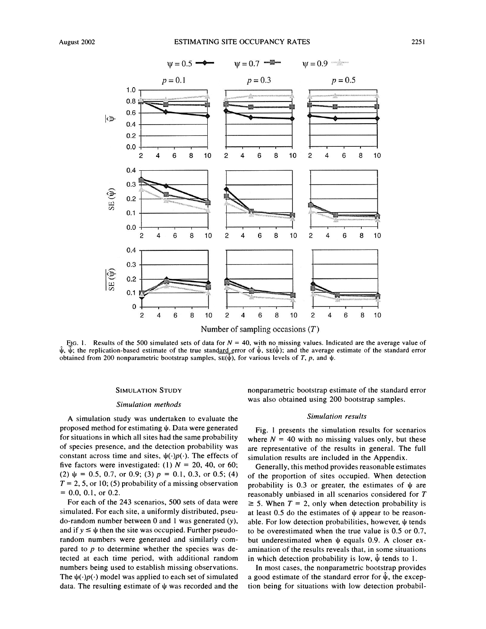

**Number of sampling occasions (T)** 

F<sub>IG.</sub> 1. Results of the 500 simulated sets of data for  $N = 40$ , with no missing values. Indicated are the average value of  $\hat{\psi}$ ,  $\hat{\psi}$ ; the replication-based estimate of the true standard error of  $\hat{\psi}$ ,  $\delta E(\hat{\psi})$ ; and the average estimate of the standard error obtained from 200 nonparametric bootstrap samples,  $SE(\hat{\psi})$ , for various levels of T, p, and  $\psi$ .

# **SIMULATION STUDY**

#### **Simulation methods**

**A simulation study was undertaken to evaluate the proposed method for estimating 4i. Data were generated for situations in which all sites had the same probability of species presence, and the detection probability was**  constant across time and sites,  $\psi(\cdot)p(\cdot)$ . The effects of five factors were investigated: (1)  $N = 20, 40,$  or 60;  $(2) \psi = 0.5, 0.7, \text{ or } 0.9; (3) p = 0.1, 0.3, \text{ or } 0.5; (4)$  $T = 2, 5,$  or 10; (5) probability of a missing observation **= 0.0, 0.1, or 0.2.** 

**For each of the 243 scenarios, 500 sets of data were simulated. For each site, a uniformly distributed, pseudo-random number between 0 and 1 was generated (y),**  and if  $y \leq \psi$  then the site was occupied. Further pseudo**random numbers were generated and similarly compared to p to determine whether the species was detected at each time period, with additional random numbers being used to establish missing observations.**  The  $\psi(\cdot)p(\cdot)$  model was applied to each set of simulated **data. The resulting estimate of qj was recorded and the** 

**nonparametric bootstrap estimate of the standard error was also obtained using 200 bootstrap samples.** 

#### **Simulation results**

**Fig. 1 presents the simulation results for scenarios**  where  $N = 40$  with no missing values only, but these **are representative of the results in general. The full simulation results are included in the Appendix.** 

**Generally, this method provides reasonable estimates of the proportion of sites occupied. When detection**  probability is  $0.3$  or greater, the estimates of  $\psi$  are **reasonably unbiased in all scenarios considered for T**   $\geq$  5. When  $T = 2$ , only when detection probability is at least  $0.5$  do the estimates of  $\psi$  appear to be reasonable. For low detection probabilities, however,  $\psi$  tends **to be overestimated when the true value is 0.5 or 0.7, but underestimated when qj equals 0.9. A closer examination of the results reveals that, in some situations**  in which detection probability is low,  $\hat{\psi}$  tends to 1.

**In most cases, the nonparametric bootstrap provides**  a good estimate of the standard error for  $\hat{\psi}$ , the excep**tion being for situations with low detection probabil-**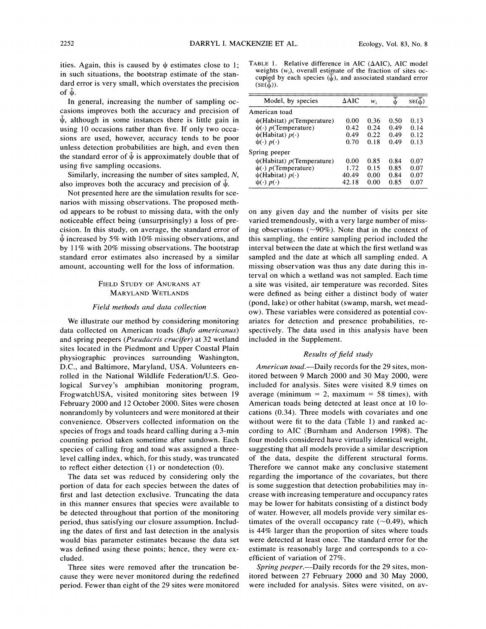ities. Again, this is caused by  $\psi$  estimates close to 1; **in such situations, the bootstrap estimate of the standard error is very small, which overstates the precision**  of **մ**.

**In general, increasing the number of sampling occasions improves both the accuracy and precision of 4, although in some instances there is little gain in using 10 occasions rather than five. If only two occasions are used, however, accuracy tends to be poor unless detection probabilities are high, and even then**  the standard error of  $\hat{\psi}$  is approximately double that of **using five sampling occasions.** 

**Similarly, increasing the number of sites sampled, N,**  also improves both the accuracy and precision of  $\hat{\psi}$ .

**Not presented here are the simulation results for scenarios with missing observations. The proposed method appears to be robust to missing data, with the only noticeable effect being (unsurprisingly) a loss of precision. In this study, on average, the standard error of it increased by 5% with 10% missing observations, and by 11% with 20% missing observations. The bootstrap standard error estimates also increased by a similar amount, accounting well for the loss of information.** 

# **FIELD STUDY OF ANURANS AT MARYLAND WETLANDS**

## **Field methods and data collection**

**We illustrate our method by considering monitoring data collected on American toads (Bufo americanus) and spring peepers (Pseudacris crucifer) at 32 wetland sites located in the Piedmont and Upper Coastal Plain physiographic provinces surrounding Washington, D.C., and Baltimore, Maryland, USA. Volunteers enrolled in the National Wildlife Federation/U.S. Geological Survey's amphibian monitoring program, FrogwatchUSA, visited monitoring sites between 19 February 2000 and 12 October 2000. Sites were chosen nonrandomly by volunteers and were monitored at their convenience. Observers collected information on the species of frogs and toads heard calling during a 3-min counting period taken sometime after sundown. Each species of calling frog and toad was assigned a threelevel calling index, which, for this study, was truncated to reflect either detection (1) or nondetection (0).** 

**The data set was reduced by considering only the portion of data for each species between the dates of first and last detection exclusive. Truncating the data in this manner ensures that species were available to be detected throughout that portion of the monitoring period, thus satisfying our closure assumption. Including the dates of first and last detection in the analysis would bias parameter estimates because the data set was defined using these points; hence, they were excluded.** 

**Three sites were removed after the truncation because they were never monitored during the redefined period. Fewer than eight of the 29 sites were monitored** 

**TABLE 1. Relative difference in AIC (AAIC), AIC model**  weights  $(w_i)$ , overall estimate of the fraction of sites occupied by each species  $(\hat{\psi})$ , and associated standard error  $(SE(\hat{\psi}))$ .

| Model, by species                    | $\Delta AIC$ | W:   | ψ    | SE(ili |
|--------------------------------------|--------------|------|------|--------|
| American toad                        |              |      |      |        |
| $\psi$ (Habitat) p(Temperature)      | 0.00         | 0.36 | 0.50 | 0.13   |
| $\psi(\cdot)$ p(Temperature)         | 0.42         | 0.24 | 0.49 | 0.14   |
| $\psi$ (Habitat) $p(\cdot)$          | 0.49         | 0.22 | 0.49 | 0.12   |
| $\psi(\cdot)$ $p(\cdot)$             | 0.70         | 0.18 | 0.49 | 0.13   |
| Spring peeper                        |              |      |      |        |
| $\psi$ (Habitat) p(Temperature)      | 0.00         | 0.85 | 0.84 | 0.07   |
| $\psi(\cdot)$ <i>p</i> (Temperature) | 1.72         | 0.15 | 0.85 | 0.07   |
| $\psi$ (Habitat) $p(\cdot)$          | 40.49        | 0.00 | 0.84 | 0.07   |
| $\psi(\cdot)$ $p(\cdot)$             | 42.18        | 0.00 | 0.85 | 0.07   |

**on any given day and the number of visits per site varied tremendously, with a very large number of miss**ing observations  $(\sim 90\%)$ . Note that in the context of **this sampling, the entire sampling period included the interval between the date at which the first wetland was sampled and the date at which all sampling ended. A missing observation was thus any date during this interval on which a wetland was not sampled. Each time a site was visited, air temperature was recorded. Sites were defined as being either a distinct body of water (pond, lake) or other habitat (swamp, marsh, wet meadow). These variables were considered as potential covariates for detection and presence probabilities, respectively. The data used in this analysis have been included in the Supplement.** 

## **Results of field study**

American toad.—Daily records for the 29 sites, mon**itored between 9 March 2000 and 30 May 2000, were included for analysis. Sites were visited 8.9 times on**  average (minimum  $= 2$ , maximum  $= 58$  times), with **American toads being detected at least once at 10 locations (0.34). Three models with covariates and one without were fit to the data (Table 1) and ranked according to AIC (Burnham and Anderson 1998). The four models considered have virtually identical weight, suggesting that all models provide a similar description of the data, despite the different structural forms. Therefore we cannot make any conclusive statement regarding the importance of the covariates, but there is some suggestion that detection probabilities may increase with increasing temperature and occupancy rates may be lower for habitats consisting of a distinct body of water. However, all models provide very similar es**timates of the overall occupancy rate  $(\sim 0.49)$ , which **is 44% larger than the proportion of sites where toads were detected at least once. The standard error for the estimate is reasonably large and corresponds to a coefficient of variation of 27%.** 

Spring peeper.**-**-Daily records for the 29 sites, mon**itored between 27 February 2000 and 30 May 2000, were included for analysis. Sites were visited, on av-**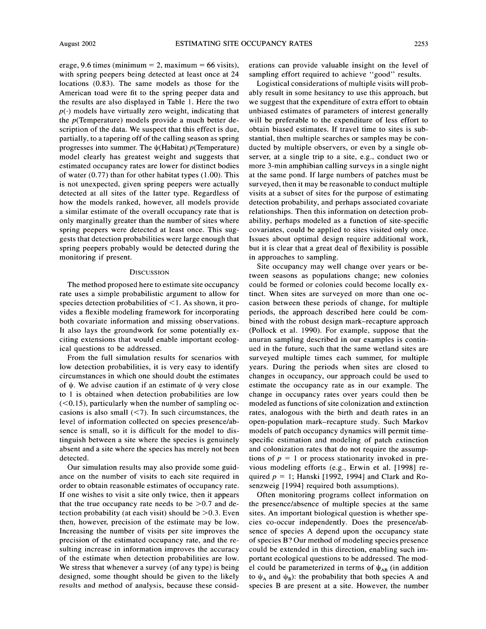**erage, 9.6 times (minimum = 2, maximum = 66 visits), with spring peepers being detected at least once at 24 locations (0.83). The same models as those for the American toad were fit to the spring peeper data and the results are also displayed in Table 1. Here the two**   $p(\cdot)$  models have virtually zero weight, indicating that **the p(Temperature) models provide a much better description of the data. We suspect that this effect is due, partially, to a tapering off of the calling season as spring**  progresses into summer. The  $\psi$ (Habitat) *p*(Temperature) **model clearly has greatest weight and suggests that estimated occupancy rates are lower for distinct bodies of water (0.77) than for other habitat types (1.00). This is not unexpected, given spring peepers were actually detected at all sites of the latter type. Regardless of how the models ranked, however, all models provide a similar estimate of the overall occupancy rate that is only marginally greater than the number of sites where spring peepers were detected at least once. This suggests that detection probabilities were large enough that spring peepers probably would be detected during the monitoring if present.** 

### **DISCUSSION**

**The method proposed here to estimate site occupancy rate uses a simple probabilistic argument to allow for species detection probabilities of < 1. As shown, it provides a flexible modeling framework for incorporating both covariate information and missing observations. It also lays the groundwork for some potentially exciting extensions that would enable important ecological questions to be addressed.** 

**From the full simulation results for scenarios with low detection probabilities, it is very easy to identify circumstances in which one should doubt the estimates**  of  $\psi$ . We advise caution if an estimate of  $\psi$  very close **to 1 is obtained when detection probabilities are low (<0.15), particularly when the number of sampling occasions is also small (<7). In such circumstances, the level of information collected on species presence/absence is small, so it is difficult for the model to distinguish between a site where the species is genuinely absent and a site where the species has merely not been detected.** 

**Our simulation results may also provide some guidance on the number of visits to each site required in order to obtain reasonable estimates of occupancy rate. If one wishes to visit a site only twice, then it appears that the true occupancy rate needs to be >0.7 and detection probability (at each visit) should be >0.3. Even then, however, precision of the estimate may be low. Increasing the number of visits per site improves the precision of the estimated occupancy rate, and the resulting increase in information improves the accuracy of the estimate when detection probabilities are low. We stress that whenever a survey (of any type) is being designed, some thought should be given to the likely results and method of analysis, because these consid-** **erations can provide valuable insight on the level of sampling effort required to achieve "good" results.** 

**Logistical considerations of multiple visits will probably result in some hesitancy to use this approach, but we suggest that the expenditure of extra effort to obtain unbiased estimates of parameters of interest generally will be preferable to the expenditure of less effort to obtain biased estimates. If travel time to sites is substantial, then multiple searches or samples may be conducted by multiple observers, or even by a single observer, at a single trip to a site, e.g., conduct two or more 3-min amphibian calling surveys in a single night at the same pond. If large numbers of patches must be surveyed, then it may be reasonable to conduct multiple visits at a subset of sites for the purpose of estimating detection probability, and perhaps associated covariate relationships. Then this information on detection probability, perhaps modeled as a function of site-specific covariates, could be applied to sites visited only once. Issues about optimal design require additional work, but it is clear that a great deal of flexibility is possible in approaches to sampling.** 

**Site occupancy may well change over years or between seasons as populations change; new colonies could be formed or colonies could become locally extinct. When sites are surveyed on more than one occasion between these periods of change, for multiple periods, the approach described here could be combined with the robust design mark-recapture approach (Pollock et al. 1990). For example, suppose that the anuran sampling described in our examples is continued in the future, such that the same wetland sites are surveyed multiple times each summer, for multiple years. During the periods when sites are closed to changes in occupancy, our approach could be used to estimate the occupancy rate as in our example. The change in occupancy rates over years could then be modeled as functions of site colonization and extinction rates, analogous with the birth and death rates in an open-population mark-recapture study. Such Markov models of patch occupancy dynamics will permit timespecific estimation and modeling of patch extinction and colonization rates that do not require the assump**tions of  $p = 1$  or process stationarity invoked in pre**vious modeling efforts (e.g., Erwin et al. [1998] required p = 1; Hanski [1992, 1994] and Clark and Rosenzweig [1994] required both assumptions).** 

**Often monitoring programs collect information on the presence/absence of multiple species at the same sites. An important biological question is whether species co-occur independently. Does the presence/absence of species A depend upon the occupancy state of species B? Our method of modeling species presence could be extended in this direction, enabling such important ecological questions to be addressed. The mod**el could be parameterized in terms of  $\psi_{AB}$  (in addition to  $\psi_A$  and  $\psi_B$ ): the probability that both species A and **species B are present at a site. However, the number**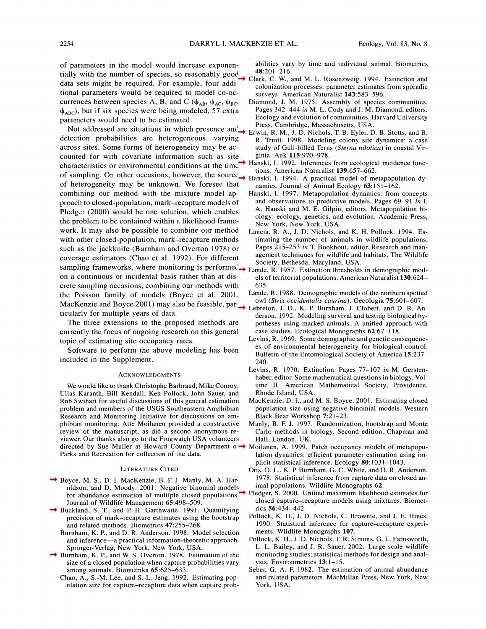**of parameters in the model would increase exponentially with the number of species, so reasonably good data sets might be required. For example, four additional parameters would be required to model co-oc**currences between species A, B, and C  $(\psi_{AB}, \psi_{AC}, \psi_{BC}, \psi_{BC})$ **PABC), but if six species were being modeled, 57 extra parameters would need to be estimated.** 

**Not addressed are situations in which presence and <b>Press**, Cambridge, Massachusetts, USA. **Property** Press, Cambridge, Massachusetts, USA. **detection probabilities are heterogeneous, varying across sites. Some forms of heterogeneity may be accounted for with covariate information such as site characteristics or environmental conditions at the time of sampling.** On other occasions, however, the source **and** hand tions. American Naturalist 139:657–662. **of sampling.** On other occasions, however, the source **a** Hanski I 1994. A practical model of m **of heterogeneity may be unknown. We foresee that combining our method with the mixture model approach to closed-population, mark-recapture models of Pledger (2000) would be one solution, which enables the problem to be contained within a likelihood framework. It may also be possible to combine our method with other closed-population, mark-recapture methods such as the jackknife (Burnham and Overton 1978) or coverage estimators (Chao et al. 1992). For different**  sampling frameworks, where monitoring is performed  $\rightarrow$  Lande, R. 1987. Extinction thresholds in demographic mod**on a continuous or incidental basis rather than at discrete sampling occasions, combining our methods with the Poisson family of models (Boyce et al. 2001, MacKenzie and Boyce 2001) may also be feasible, par-owl (Strix occidentalis caurina). Oecologia 75:601-607. ticularly for multiple years of data.** 

**The three extensions to the proposed methods are currently the focus of ongoing research on this general topic of estimating site occupancy rates.** 

**Software to perform the above modeling has been included in the Supplement.** 

#### **ACKNOWLEDGMENTS**

**We would like to thank Christophe Barbraud, Mike Conroy, Ullas Karanth, Bill Kendall, Ken Pollock, John Sauer, and Rob Swihart for useful discussions of this general estimation problem and members of the USGS Southeastern Amphibian Research and Monitoring Initiative for discussions on amphibian monitoring. Atte Moilanen provided a constructive review of the manuscript, as did a second anonymous reviewer. Our thanks also go to the Frogwatch USA volunteers**  directed by Sue Muller at Howard County Department o 
indianen, A. 1999. Patch occupancy models of metapopu-**Parks and Recreation for collection of the data.** 

#### **LITERATURE CITED**

- Boyce, M. S., D. I. MacKenzie, B. F. J. Manly, M. A. Har**oldson, and D. Moody. 2001. Negative binomial models for abundance estimation of multiple closed populations. Journal of Wildlife Management 65:498-509.**
- **Buckland, S. T., and P. H. Garthwaite. 1991. Quantifying precision of mark-recapture estimates using the bootstrap and related methods. Biometrics 47:255-268.** 
	- **Burnham, K. P., and D. R. Anderson. 1998. Model selection and inference-a practical information-theoretic approach. Springer-Verlag, New York, New York, USA.**
- **Burnham, K. P., and W. S. Overton. 1978. Estimation of the size of a closed population when capture probabilities vary among animals. Biometrika 65:625-633.** 
	- **Chao, A., S.-M. Lee, and S.-L. Jeng. 1992. Estimating population size for capture-recapture data when capture prob-**

**abilities vary by time and individual animal. Biometrics 48:201-216.** 

- **Clark, C. W., and M. L. Rosenzweig. 1994. Extinction and colonization processes: parameter estimates from sporadic surveys. American Naturalist 143:583-596.**
- **Diamond, J. M. 1975. Assembly of species communities. Pages 342-444 in M. L. Cody and J. M. Diamond, editors. Ecology and evolution of communities. Harvard University**
- **Erwin, R. M., J. D. Nichols, T. B. Eyler, D. B. Stotts, and B. R. Truitt. 1998. Modeling colony site dynamics: a case study of Gull-billed Terns (Sterna nilotica) in coastal Virginia. Auk 115:970-978.**
- Hanski, I. 1992. Inferences from ecological incidence functions. American Naturalist 139:657-662.
- **Hanski, I. 1994. A practical model of metapopulation dynamics. Journal of Animal Ecology 63:151-162.**
- **Hanski, I. 1997. Metapopulation dynamics: from concepts and observations to predictive models. Pages 69-91 in I. A. Hanski and M. E. Gilpin, editors. Metapopulation biology: ecology, genetics, and evolution. Academic Press, New York, New York, USA.**
- **Lancia, R. A., J. D. Nichols, and K. H. Pollock. 1994. Estimating the number of animals in wildlife populations. Pages 215-253 in T. Bookhout, editor. Research and management techniques for wildlife and habitats. The Wildlife Society, Bethesda, Maryland, USA.**
- **els of territorial populations. American Naturalist 130:624- 635.**
- **Lande, R. 1988. Demographic models of the northern spotted**
- **Lebreton, J. D., K. P. Burnham, J. Clobert, and D. R. Anderson. 1992. Modeling survival and testing biological hypotheses using marked animals. A unified approach with case studies. Ecological Monographs 62:67-118.**
- **Levins, R. 1969. Some demographic and genetic consequences of environmental heterogeneity for biological control. Bulletin of the Entomological Society of America 15:237- 240.**
- **Levins, R. 1970. Extinction. Pages 77-107 in M. Gerstenhaber, editor. Some mathematical questions in biology. Volume I. American Mathematical Society, Providence, Rhode Island, USA.**
- **MacKenzie, D. I., and M. S. Boyce. 2001. Estimating closed population size using negative binomial models. Western Black Bear Workshop 7:21-23.**
- **Manly, B. F J. 1997. Randomization, bootstrap and Monte Carlo methods in biology. Second edition. Chapman and Hall, London, UK.**
- **lation dynamics: efficient parameter estimation using implicit statistical inference. Ecology 80:1031-1043.**
- **Otis, D. L., K. P. Burnham, G. C. White, and D. R. Anderson. 1978. Statistical inference from capture data on closed animal populations. Wildlife Monographs 62.**
- **Pledger, S. 2000. Unified maximum likelihood estimates for closed capture-recapture models using mixtures. Biometrics 56:434-442.**
- **Pollock, K. H., J. D. Nichols, C. Brownie, and J. E. Hines. 1990. Statistical inference for capture-recapture experiments. Wildlife Monographs 107.**
- **Pollock, K. H., J. D. Nichols, T. R. Simons, G. L. Farnsworth, L. L. Bailey, and J. R. Sauer. 2002. Large scale wildlife monitoring studies: statistical methods for design and analysis. Environmetrics 13:1-15.**
- **Seber, G. A. F 1982. The estimation of animal abundance and related parameters. MacMillan Press, New York, New York, USA.**